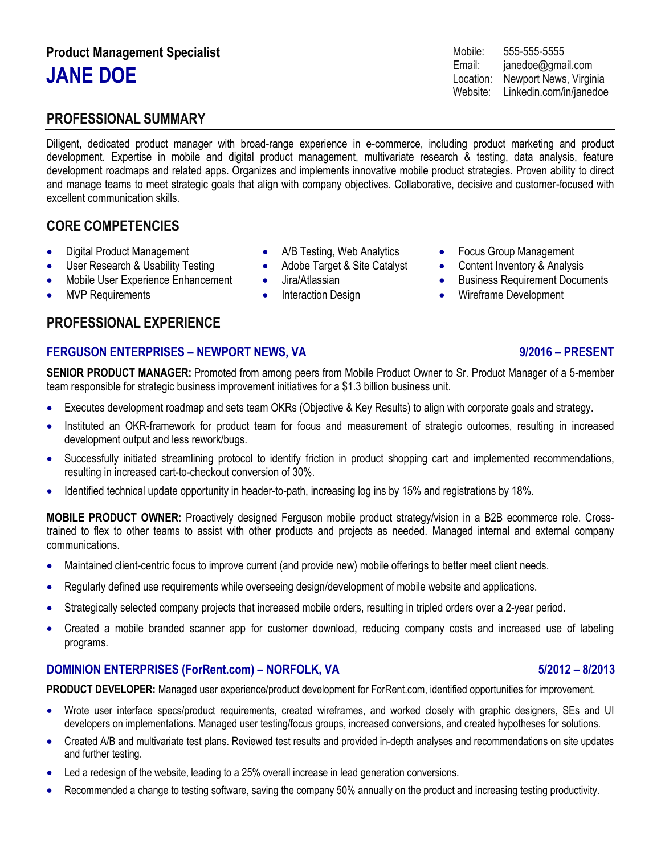# **Product Management Specialist JANE DOE**

# **PROFESSIONAL SUMMARY**

Diligent, dedicated product manager with broad-range experience in e-commerce, including product marketing and product development. Expertise in mobile and digital product management, multivariate research & testing, data analysis, feature development roadmaps and related apps. Organizes and implements innovative mobile product strategies. Proven ability to direct and manage teams to meet strategic goals that align with company objectives. Collaborative, decisive and customer-focused with excellent communication skills.

# **CORE COMPETENCIES**

- Digital Product Management
- User Research & Usability Testing
- Mobile User Experience Enhancement
- **MVP Requirements**

# **PROFESSIONAL EXPERIENCE**

### **FERGUSON ENTERPRISES – NEWPORT NEWS, VA 9/2016 – PRESENT**

**SENIOR PRODUCT MANAGER:** Promoted from among peers from Mobile Product Owner to Sr. Product Manager of a 5-member team responsible for strategic business improvement initiatives for a \$1.3 billion business unit.

• A/B Testing, Web Analytics • Adobe Target & Site Catalyst

Interaction Design

• Jira/Atlassian

- Executes development roadmap and sets team OKRs (Objective & Key Results) to align with corporate goals and strategy.
- Instituted an OKR-framework for product team for focus and measurement of strategic outcomes, resulting in increased development output and less rework/bugs.
- Successfully initiated streamlining protocol to identify friction in product shopping cart and implemented recommendations, resulting in increased cart-to-checkout conversion of 30%.
- Identified technical update opportunity in header-to-path, increasing log ins by 15% and registrations by 18%.

**MOBILE PRODUCT OWNER:** Proactively designed Ferguson mobile product strategy/vision in a B2B ecommerce role. Crosstrained to flex to other teams to assist with other products and projects as needed. Managed internal and external company communications.

- Maintained client-centric focus to improve current (and provide new) mobile offerings to better meet client needs.
- Regularly defined use requirements while overseeing design/development of mobile website and applications.
- Strategically selected company projects that increased mobile orders, resulting in tripled orders over a 2-year period.
- Created a mobile branded scanner app for customer download, reducing company costs and increased use of labeling programs.

### **DOMINION ENTERPRISES (ForRent.com) – NORFOLK, VA 5/2012 – 8/2013**

**PRODUCT DEVELOPER:** Managed user experience/product development for ForRent.com, identified opportunities for improvement.

- Wrote user interface specs/product requirements, created wireframes, and worked closely with graphic designers, SEs and UI developers on implementations. Managed user testing/focus groups, increased conversions, and created hypotheses for solutions.
- Created A/B and multivariate test plans. Reviewed test results and provided in-depth analyses and recommendations on site updates and further testing.
- Led a redesign of the website, leading to a 25% overall increase in lead generation conversions.
- Recommended a change to testing software, saving the company 50% annually on the product and increasing testing productivity.

### Mobile: 555-555-5555 Email: janedoe@gmail.com Location: Newport News, Virginia Website: Linkedin.com/in/janedoe

- Focus Group Management
- Content Inventory & Analysis
- Business Requirement Documents
- Wireframe Development